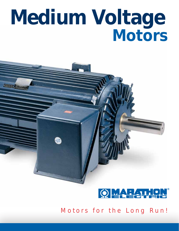# *Medium Voltage Motors*





*Motors for the Long Run!*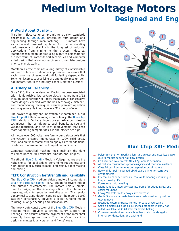## *Medium Voltage Motors Designed and Eng*

### *A Word About Quality...*

*Marathon Electric's uncompromising quality standards encompass ISO 9001:2000 procedures from design and engineering through manufacturing. Our motors have earned a well deserved reputation for their outstanding performance and reliability in the toughest of industrial applications from mining to the process industries. Marathon's reputation for producing highly reliable motors is a direct result of state-of-the-art techniques and computer aided design that allow our engineers to simulate designs prior to manufacturing.*

*Marathon Electric combines a long history of craftsmanship with our culture of continuous improvement to ensure that each motor is engineered and built for lasting dependability. So, when it comes to specifying or using quality medium voltage motors, turn to the industry leader, Marathon Electric!*

### *A History of Reliability...*

*Since 1913, the name Marathon Electric has been associated with highly reliable, low voltage electric motors from 1/12 through 1000 horsepower. Today, that history of conservative motor designs, coupled with the best technology, materials, and manufacturing techniques, ensures premium operation and long service life in our above NEMA motor offering.*

*The power of quality and innovation are combined in our Blue Chip XRI® Medium Voltage motor family. The Blue Chip XRI® Medium Voltage incorporates advanced design techniques that contribute to such benefits as size and weight reduction, and air flow improvements that keep motor operating temperatures low and efficiencies high.*

*All motors over 600 volts have form wound stator coils that are vacuum pressure impregnated in 100% solid epoxy resin, and are final coated with an epoxy ester for additional resistance to abrasion and build-up of contaminants.*

*Computer controlled machine tools maintain the tight tolerance needed for precise fits, runouts, and air gaps.*

*Marathon's Blue Chip XRI® Medium Voltage motors are the right choice for applications demanding ruggedness and high dependability such as metal processing, paper making and mining.*

#### *TEFC Construction for Strength and Reliability*

*The Blue Chip XRI® Medium Voltage motors incorporate a totally enclosed fan cooled (TEFC) design for severe indoor and outdoor environments. The motor's unique profile, deep fin design, and the circulating action of the internal air passages, allow for superior heat dissipation. This revolutionary recirculating design, coupled with the motor's 100% cast iron construction, provides a cooler running motor resulting in longer bearing and insulation life.*

*The heavy duty construction of the Blue Chip XRI® Medium Voltage motor provides a strong, sturdy support for bearings. This ensures accurate alignment of the rotor shaft assembly, bearings and stator. The motor's all cast iron design minimizes total vibration and 'noise' levels.*



### *Blue Chip XRI® Medi*

- *1. Polypropylene non sparking fan runs quieter and uses less power due to motor's superior air flow design*
- *2. Cast iron fan cover meets NEMA "guarded" definition*
- *3. All cast iron construction provides rigidity and corrosion resistance*
- *4. Class 20 cast iron same as our explosion proof motors*
- *5. Epoxy finish paint over red alkyd oxide primer for corrosive environments*
- *6. Internal air channels circulate cool air to bearings, resulting in longer bearing life*
- *7. Epoxy ester rotor coating*
- *8. Lifting lugs (2), integrally cast into frame for added safety and easier mounting*
- *9. Epoxy VPI stator with epoxy ester overcoat*
- *10. Grade 5 zinc dichromate hardware resists rust and provides easy removal*
- *11. Extended external grease fittings for ease of regreasing*
- *12. Shaft diameters as large as 4.5 inches, standard is 1045 hot rolled, available as 4140 steel for severe belting*
- *13. Corrosion resistant automatic breather drain guards against internal condensation, one each end*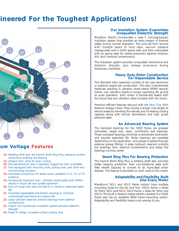### *gineered For the Toughest Applications!*



### *um Voltage Features*

- *14. Rotating shaft seal, the Inpro® Smart Ring Plus, prevents contaminants from entering the bearing*
- *15. Integral rotor vents for even cooling*
- *16. Die cast aluminum rotor is standard. Copper bar rotor is available*
- *17. Foot equipped with mounting hole, jacking hole, and drive end has doweling provision*
- *18. Oversized conduit box for stress cones, available in F1, F2, or F3 locations*
- *19. Dynamically balanced rotor vibration levels better than NEMA results in longer life and quieter operation*
- *20. End coil wrap with each coil tied to it, results in extended stator life*
- *21. Oversized regreasable anti-friction bearings to minimize unscheduled downtime and extend life*
- *22. Large lubricant reservoir protects bearings from external contaminants*
- *23. Class F non-hydroscopic insulation system provides dielectric strength*
- *24. Deep fin design increases surface cooling area*

### *Our Insulation System Guarantees Unequalled Dielectric Strength*

*Marathon Electric incorporates a class F, non-hygroscopic insulation system that provides an extra margin of thermal safety during normal operation. The coils are form wound with multiple layers of mica tape; vacuum pressure impregnated with a 100% epoxy resin and then overcoated with an epoxy ester for added protection against moisture, dirt, and chemical contaminants.*

*This insulation system provides unequalled mechanical and dielectric strength, plus voltage endurance during temporary overloads.*

### *Heavy Duty Rotor Construction For Dependable Service*

*The standard rotor assembly consists of die cast aluminum or optional copper bar construction. The rotor is dynamically balanced resulting in vibration levels below NEMA requirements. Low vibration results in longer operating life as well as quiet operation. Each motor is individually tested with the actual test and vibration data included with the motor.*

*Premium efficient features abound with the Blue Chip XRI® Medium Voltage motor. They include a longer core length to reduce losses by lowering flux density and increasing cooling capacity along with thinner laminations and high grade electrical steel.*

### *An Advanced Bearing System*

*The standard bearings for the 5000 frame are greased lubricated, single row, open, anti-friction ball bearings. These oversized bearings minimize unscheduled downtime, and provide extended life. Roller bearings are available depending on the application, and grease is added through external grease fittings. A large lubricant reservoir protects the bearings from external contaminants and keeps the bearings running cooler.*

### *Smart Ring Plus For Bearing Protection*

*The Inpro® Smart Ring Plus, a rotating shaft seal, provides better bearing protection than non-rotational seals with field retrofit capacity to convert to an Inpro/Seal when desired. This feature is provided on both ends of the motor.*

### *Adaptability andFlexibility Built Into Every Motor*

*Marathon's 5011 and 5013 frame motors have multiple mounting holes on the fan end foot. (5011 frame = holes for 5010, 5011 and 5012; 5013 frame = holes for 5012 and 5013.) This built in feature makes retrofit a breeze! Our 5000 frame also has an available 5800 frame mounting option. Adaptability and flexibility means cost savings to you.*